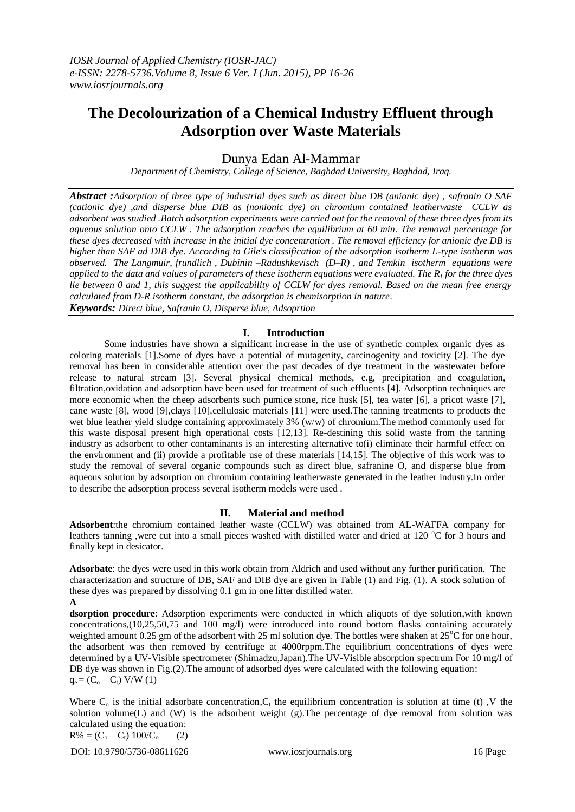# **The Decolourization of a Chemical Industry Effluent through Adsorption over Waste Materials**

Dunya Edan Al-Mammar

*Department of Chemistry, College of Science, Baghdad University, Baghdad, Iraq.*

*Abstract :Adsorption of three type of industrial dyes such as direct blue DB (anionic dye) , safranin O SAF (cationic dye) ,and disperse blue DIB as (nonionic dye) on chromium contained leatherwaste CCLW as adsorbent was studied .Batch adsorption experiments were carried out for the removal of these three dyes from its aqueous solution onto CCLW . The adsorption reaches the equilibrium at 60 min. The removal percentage for these dyes decreased with increase in the initial dye concentration . The removal efficiency for anionic dye DB is higher than SAF ad DIB dye. According to Gile's classification of the adsorption isotherm L-type isotherm was observed. The Langmuir, frundlich , Dubinin –Radushkevisch (D–R) , and Temkin isotherm equations were applied to the data and values of parameters of these isotherm equations were evaluated. The RL for the three dyes lie between 0 and 1, this suggest the applicability of CCLW for dyes removal. Based on the mean free energy calculated from D-R isotherm constant, the adsorption is chemisorption in nature. Keywords: Direct blue, Safranin O, Disperse blue, Adsoprtion*

## **I. Introduction**

Some industries have shown a significant increase in the use of synthetic complex organic dyes as coloring materials [1].Some of dyes have a potential of mutagenity, carcinogenity and toxicity [2]. The dye removal has been in considerable attention over the past decades of dye treatment in the wastewater before release to natural stream [3]. Several physical chemical methods, e.g, precipitation and coagulation, filtration,oxidation and adsorption have been used for treatment of such effluents [4]. Adsorption techniques are more economic when the cheep adsorbents such pumice stone, rice husk [5], tea water [6], a pricot waste [7], cane waste [8], wood [9],clays [10],cellulosic materials [11] were used.The tanning treatments to products the wet blue leather yield sludge containing approximately 3% (w/w) of chromium.The method commonly used for this waste disposal present high operational costs [12,13]. Re-destining this solid waste from the tanning industry as adsorbent to other contaminants is an interesting alternative to(i) eliminate their harmful effect on the environment and (ii) provide a profitable use of these materials [14,15]. The objective of this work was to study the removal of several organic compounds such as direct blue, safranine O, and disperse blue from aqueous solution by adsorption on chromium containing leatherwaste generated in the leather industry.In order to describe the adsorption process several isotherm models were used .

### **II. Material and method**

**Adsorbent**:the chromium contained leather waste (CCLW) was obtained from AL-WAFFA company for leathers tanning ,were cut into a small pieces washed with distilled water and dried at 120  $^{\circ}$ C for 3 hours and finally kept in desicator.

**Adsorbate**: the dyes were used in this work obtain from Aldrich and used without any further purification. The characterization and structure of DB, SAF and DIB dye are given in Table (1) and Fig. (1). A stock solution of these dyes was prepared by dissolving 0.1 gm in one litter distilled water. **A**

**dsorption procedure**: Adsorption experiments were conducted in which aliquots of dye solution,with known concentrations,(10,25,50,75 and 100 mg/l) were introduced into round bottom flasks containing accurately weighted amount 0.25 gm of the adsorbent with 25 ml solution dye. The bottles were shaken at  $25^{\circ}$ C for one hour, the adsorbent was then removed by centrifuge at 4000rppm.The equilibrium concentrations of dyes were determined by a UV-Visible spectrometer (Shimadzu,Japan).The UV-Visible absorption spectrum For 10 mg/l of DB dye was shown in Fig.(2).The amount of adsorbed dyes were calculated with the following equation:  $q_e = (C_o - C_t)$  V/W (1)

Where  $C_0$  is the initial adsorbate concentration,  $C_t$  the equilibrium concentration is solution at time (t), V the solution volume(L) and (W) is the adsorbent weight  $(g)$ . The percentage of dye removal from solution was calculated using the equation:

 $R\% = (C_0 - C_1) 100/C_0$  (2)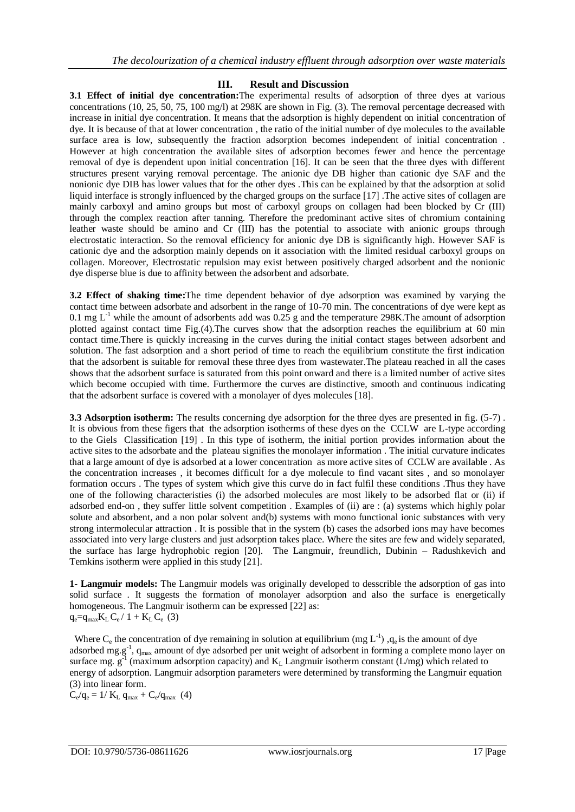## **III. Result and Discussion**

**3.1 Effect of initial dye concentration:**The experimental results of adsorption of three dyes at various concentrations (10, 25, 50, 75, 100 mg/l) at 298K are shown in Fig. (3). The removal percentage decreased with increase in initial dye concentration. It means that the adsorption is highly dependent on initial concentration of dye. It is because of that at lower concentration , the ratio of the initial number of dye molecules to the available surface area is low, subsequently the fraction adsorption becomes independent of initial concentration . However at high concentration the available sites of adsorption becomes fewer and hence the percentage removal of dye is dependent upon initial concentration [16]. It can be seen that the three dyes with different structures present varying removal percentage. The anionic dye DB higher than cationic dye SAF and the nonionic dye DIB has lower values that for the other dyes .This can be explained by that the adsorption at solid liquid interface is strongly influenced by the charged groups on the surface [17] .The active sites of collagen are mainly carboxyl and amino groups but most of carboxyl groups on collagen had been blocked by Cr (III) through the complex reaction after tanning. Therefore the predominant active sites of chromium containing leather waste should be amino and Cr (III) has the potential to associate with anionic groups through electrostatic interaction. So the removal efficiency for anionic dye DB is significantly high. However SAF is cationic dye and the adsorption mainly depends on it association with the limited residual carboxyl groups on collagen. Moreover, Electrostatic repulsion may exist between positively charged adsorbent and the nonionic dye disperse blue is due to affinity between the adsorbent and adsorbate.

**3.2 Effect of shaking time:**The time dependent behavior of dye adsorption was examined by varying the contact time between adsorbate and adsorbent in the range of 10-70 min. The concentrations of dye were kept as 0.1 mg  $L^{-1}$  while the amount of adsorbents add was 0.25 g and the temperature 298K. The amount of adsorption plotted against contact time Fig.(4).The curves show that the adsorption reaches the equilibrium at 60 min contact time.There is quickly increasing in the curves during the initial contact stages between adsorbent and solution. The fast adsorption and a short period of time to reach the equilibrium constitute the first indication that the adsorbent is suitable for removal these three dyes from wastewater.The plateau reached in all the cases shows that the adsorbent surface is saturated from this point onward and there is a limited number of active sites which become occupied with time. Furthermore the curves are distinctive, smooth and continuous indicating that the adsorbent surface is covered with a monolayer of dyes molecules [18].

**3.3 Adsorption isotherm:** The results concerning dye adsorption for the three dyes are presented in fig. (5-7). It is obvious from these figers that the adsorption isotherms of these dyes on the CCLW are L-type according to the Giels Classification [19] . In this type of isotherm, the initial portion provides information about the active sites to the adsorbate and the plateau signifies the monolayer information . The initial curvature indicates that a large amount of dye is adsorbed at a lower concentration as more active sites of CCLW are available . As the concentration increases , it becomes difficult for a dye molecule to find vacant sites , and so monolayer formation occurs . The types of system which give this curve do in fact fulfil these conditions .Thus they have one of the following characteristies (i) the adsorbed molecules are most likely to be adsorbed flat or (ii) if adsorbed end-on , they suffer little solvent competition . Examples of (ii) are : (a) systems which highly polar solute and absorbent, and a non polar solvent and(b) systems with mono functional ionic substances with very strong intermolecular attraction . It is possible that in the system (b) cases the adsorbed ions may have becomes associated into very large clusters and just adsorption takes place. Where the sites are few and widely separated, the surface has large hydrophobic region [20]. The Langmuir, freundlich, Dubinin – Radushkevich and Temkins isotherm were applied in this study [21].

**1- Langmuir models:** The Langmuir models was originally developed to desscrible the adsorption of gas into solid surface . It suggests the formation of monolayer adsorption and also the surface is energetically homogeneous. The Langmuir isotherm can be expressed [22] as:  $q_e = q_{max} K_L C_e / 1 + K_L C_e$  (3)

Where  $C_e$  the concentration of dye remaining in solution at equilibrium (mg  $L^{-1}$ ),  $q_e$  is the amount of dye adsorbed mg.g<sup>-1</sup>, q<sub>max</sub> amount of dye adsorbed per unit weight of adsorbent in forming a complete mono layer on surface mg.  $g^{-1}$  (maximum adsorption capacity) and  $K_L$  Langmuir isotherm constant (L/mg) which related to energy of adsorption. Langmuir adsorption parameters were determined by transforming the Langmuir equation (3) into linear form.

 $C_e/q_e = 1/ K_L q_{max} + C_e/q_{max}$  (4)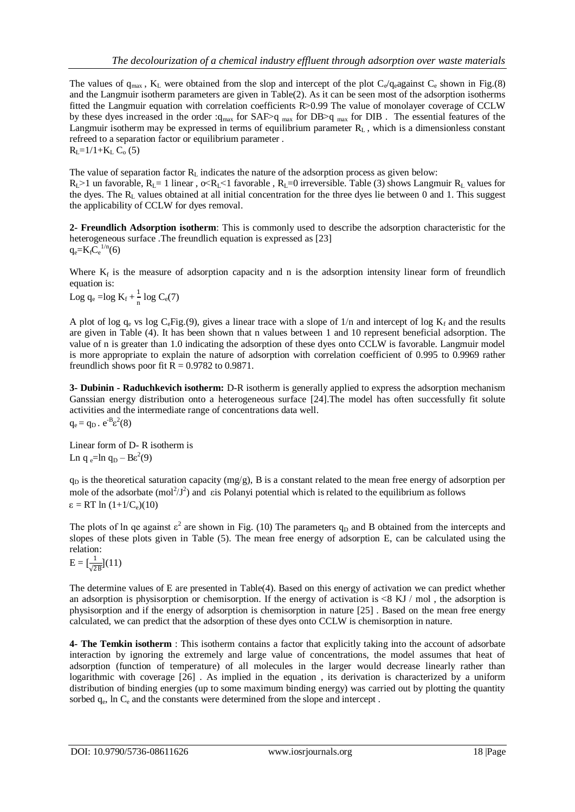The values of  $q_{max}$ ,  $K_L$  were obtained from the slop and intercept of the plot  $C_e/q_e$  against  $C_e$  shown in Fig.(8) and the Langmuir isotherm parameters are given in Table(2). As it can be seen most of the adsorption isotherms fitted the Langmuir equation with correlation coefficients R<0.99 The value of monolayer coverage of CCLW by these dyes increased in the order : $q_{max}$  for SAF> $q_{max}$  for DB> $q_{max}$  for DIB. The essential features of the Langmuir isotherm may be expressed in terms of equilibrium parameter  $R_L$ , which is a dimensionless constant refreed to a separation factor or equilibrium parameter .  $R_{\rm L}$ =1/1+K<sub>L</sub> C<sub>o</sub> (5)

The value of separation factor  $R<sub>L</sub>$  indicates the nature of the adsorption process as given below:  $R_L>1$  un favorable,  $R_L=1$  linear,  $\propto R_L<1$  favorable,  $R_L=0$  irreversible. Table (3) shows Langmuir  $R_L$  values for the dyes. The  $R_L$  values obtained at all initial concentration for the three dyes lie between 0 and 1. This suggest the applicability of CCLW for dyes removal.

**2- Freundlich Adsorption isotherm**: This is commonly used to describe the adsorption characteristic for the heterogeneous surface .The freundlich equation is expressed as [23]  $q_e = K_f C_e^{1/n}(6)$ 

Where  $K_f$  is the measure of adsorption capacity and n is the adsorption intensity linear form of freundlich equation is:

Log  $q_e = log K_f + \frac{1}{n}$  $\frac{1}{n}$  log C<sub>e</sub>(7)

A plot of log  $q_e$  vs log C<sub>e</sub>Fig.(9), gives a linear trace with a slope of 1/n and intercept of log  $K_f$  and the results are given in Table (4). It has been shown that n values between 1 and 10 represent beneficial adsorption. The value of n is greater than 1.0 indicating the adsorption of these dyes onto CCLW is favorable. Langmuir model is more appropriate to explain the nature of adsorption with correlation coefficient of 0.995 to 0.9969 rather freundlich shows poor fit  $R = 0.9782$  to 0.9871.

**3- Dubinin - Raduchkevich isotherm:** D-R isotherm is generally applied to express the adsorption mechanism Ganssian energy distribution onto a heterogeneous surface [24].The model has often successfully fit solute activities and the intermediate range of concentrations data well.  $q_e = q_D \cdot e^{-B} \varepsilon^2 (8)$ 

Linear form of D- R isotherm is Ln q<sub>e</sub>=ln q<sub>D</sub> – B $\varepsilon^2$ (9)

 $q_D$  is the theoretical saturation capacity (mg/g), B is a constant related to the mean free energy of adsorption per mole of the adsorbate  $(mol^2/J^2)$  and  $\epsilon$ is Polanyi potential which is related to the equilibrium as follows  $\varepsilon = RT \ln (1 + 1/C_e)(10)$ 

The plots of ln qe against  $\varepsilon^2$  are shown in Fig. (10) The parameters q<sub>D</sub> and B obtained from the intercepts and slopes of these plots given in Table (5). The mean free energy of adsorption E, can be calculated using the relation:

 $E = \left[\frac{1}{\sqrt{2}}\right]$  $\frac{1}{\sqrt{2B}}(11)$ 

The determine values of E are presented in Table(4). Based on this energy of activation we can predict whether an adsorption is physisorption or chemisorption. If the energy of activation is  $\leq 8$  KJ / mol, the adsorption is physisorption and if the energy of adsorption is chemisorption in nature [25] . Based on the mean free energy calculated, we can predict that the adsorption of these dyes onto CCLW is chemisorption in nature.

**4- The Temkin isotherm** : This isotherm contains a factor that explicitly taking into the account of adsorbate interaction by ignoring the extremely and large value of concentrations, the model assumes that heat of adsorption (function of temperature) of all molecules in the larger would decrease linearly rather than logarithmic with coverage [26] . As implied in the equation , its derivation is characterized by a uniform distribution of binding energies (up to some maximum binding energy) was carried out by plotting the quantity sorbed  $q_e$ , ln  $C_e$  and the constants were determined from the slope and intercept.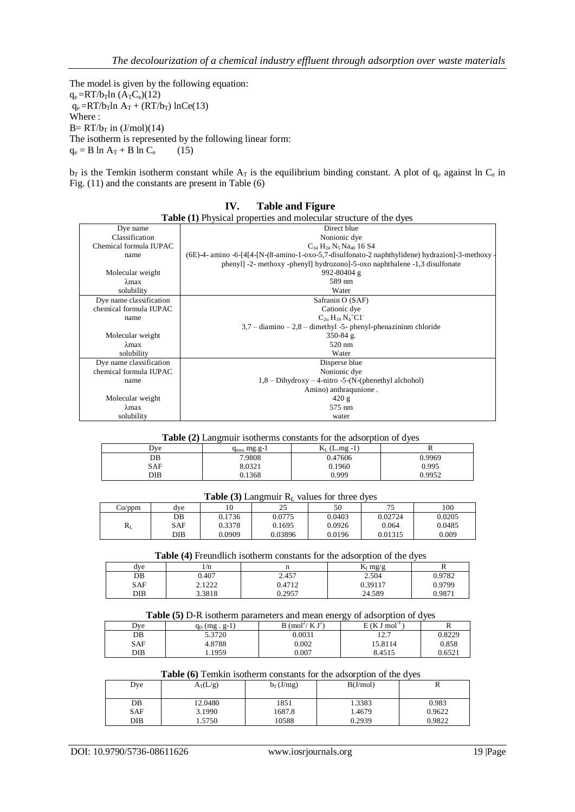The model is given by the following equation:  $q_e = RT/b_T ln (A_T C_e)(12)$  $q_e = RT/b_T ln A_T + (RT/b_T) lnCe(13)$ Where :  $B= RT/b_T$  in  $(J/mol)(14)$ The isotherm is represented by the following linear form:  $q_e = B \ln A_T + B \ln C_e$ (15)

 $b_T$  is the Temkin isotherm constant while  $A_T$  is the equilibrium binding constant. A plot of  $q_e$  against ln  $C_e$  in Fig. (11) and the constants are present in Table (6)

| <b>Table (1)</b> Physical properties and molecular structure of the dyes |                                                                                                     |  |  |  |  |  |
|--------------------------------------------------------------------------|-----------------------------------------------------------------------------------------------------|--|--|--|--|--|
| Dye name                                                                 | Direct blue                                                                                         |  |  |  |  |  |
| Classification                                                           | Nonionic dye                                                                                        |  |  |  |  |  |
| Chemical formula IUPAC                                                   | C <sub>34</sub> H <sub>24</sub> N <sub>5</sub> Na <sub>40</sub> 16 S4                               |  |  |  |  |  |
| name                                                                     | $(6E)$ -4-amino -6-[4[4-[N- $(8$ -amino-1-oxo-5,7-disulfonato-2 naphthylidene) hydrazion]-3-methoxy |  |  |  |  |  |
|                                                                          | phenyl] -2- methoxy -phenyl] hydrozono]-5-oxo naphthalene -1,3 disulfonate                          |  |  |  |  |  |
| Molecular weight                                                         | 992-80404 g                                                                                         |  |  |  |  |  |
| $\lambda$ max                                                            | 589 nm                                                                                              |  |  |  |  |  |
| solubility                                                               | Water                                                                                               |  |  |  |  |  |
| Dye name classification                                                  | Safranin O (SAF)                                                                                    |  |  |  |  |  |
| chemical formula IUPAC                                                   | Cationic dye                                                                                        |  |  |  |  |  |
| name                                                                     | $C_{20} H_{19} N_4^+ Cl^-$                                                                          |  |  |  |  |  |
|                                                                          | $3.7 -$ diamino $-2.8 -$ dimethyl -5- phenyl-phenazininm chloride                                   |  |  |  |  |  |
| Molecular weight                                                         | $350-84$ g.                                                                                         |  |  |  |  |  |
| $\lambda$ max                                                            | 520 nm                                                                                              |  |  |  |  |  |
| solubility                                                               | Water                                                                                               |  |  |  |  |  |
| Dye name classification                                                  | Disperse blue                                                                                       |  |  |  |  |  |
| chemical formula IUPAC                                                   | Nonionic dye                                                                                        |  |  |  |  |  |
| name                                                                     | $1,8$ – Dihydroxy – 4-nitro -5-(N-(phenethyl alchohol)                                              |  |  |  |  |  |
|                                                                          | Amino) anthraqunione.                                                                               |  |  |  |  |  |
| Molecular weight                                                         | 420 g                                                                                               |  |  |  |  |  |
| $\lambda$ max                                                            | 575 nm                                                                                              |  |  |  |  |  |
| solubility                                                               | water                                                                                               |  |  |  |  |  |

#### **IV. Table and Figure**

#### **Table (2)** Langmuir isotherms constants for the adsorption of dyes

| $\frac{1}{2}$ and $\frac{1}{2}$ and $\frac{1}{2}$ are $\frac{1}{2}$ and $\frac{1}{2}$ and $\frac{1}{2}$ and $\frac{1}{2}$ are $\frac{1}{2}$ and $\frac{1}{2}$ and $\frac{1}{2}$ and $\frac{1}{2}$ and $\frac{1}{2}$ and $\frac{1}{2}$ and $\frac{1}{2}$ and $\frac{1}{2}$ and $\frac{1}{2}$ a |                         |                 |        |  |  |
|-----------------------------------------------------------------------------------------------------------------------------------------------------------------------------------------------------------------------------------------------------------------------------------------------|-------------------------|-----------------|--------|--|--|
| Dve                                                                                                                                                                                                                                                                                           | $q_{\text{max}}$ mg.g-1 | $K_L$ (L.mg -1) |        |  |  |
| DB                                                                                                                                                                                                                                                                                            | 7.9808                  | 0.47606         | 0.9969 |  |  |
| SAF                                                                                                                                                                                                                                                                                           | 8.0321                  | 0.1960          | 0.995  |  |  |
| DIB                                                                                                                                                                                                                                                                                           | 0.1368                  | 0.999           | 0.9952 |  |  |
|                                                                                                                                                                                                                                                                                               |                         |                 |        |  |  |

|  |  | <b>Table (3)</b> Langmuir $R_L$ values for three dyes |  |  |  |  |  |  |
|--|--|-------------------------------------------------------|--|--|--|--|--|--|
|--|--|-------------------------------------------------------|--|--|--|--|--|--|

| Co/ppm  | dve | 10     | つよ<br>ر ے | 50     | ワミ<br>ر . | 100    |
|---------|-----|--------|-----------|--------|-----------|--------|
|         | DB  | 0.1736 | 0.0775    | 0.0403 | 0.02724   | 0.0205 |
| $R_{L}$ | SAF | 0.3378 | 0.1695    | 0.0926 | 0.064     | 0.0485 |
|         | DIB | 0.0909 | 0.03896   | 0.0196 | 0.01315   | 0.009  |

### **Table (4)** Freundlich isotherm constants for the adsorption of the dyes

| dve        | 1/n    |        | $K_f$ mg/g |        |
|------------|--------|--------|------------|--------|
| DB         | 0.407  | 2.457  | 2.504      | 0.9782 |
| <b>SAF</b> | 2.1222 | 0.4712 | 0.39117    | 0.9799 |
| DIB        | 3.3818 | 0.2957 | 24.589     | 0.987  |

#### **Table (5)** D-R isotherm parameters and mean energy of adsorption of dyes

| <b>THERE</b> (c) D IN BOURGING parameters and mean energy of adsorption of $\alpha$ yes |                 |                    |                              |        |  |  |
|-----------------------------------------------------------------------------------------|-----------------|--------------------|------------------------------|--------|--|--|
| Dve -                                                                                   | $q_D$ (mg. g-1) | $B \pmod{K}$ $I^2$ | $E$ (K J mol <sup>-1</sup> ) |        |  |  |
| DB                                                                                      | 5.3720          | 0.0031             | 12.7                         | 0.8229 |  |  |
| SAF                                                                                     | 4.8788          | 0.002              | 15.8114                      | 0.858  |  |  |
| DIB                                                                                     | .1959           | 0.007              | 8.4515                       | 0.6521 |  |  |
|                                                                                         |                 |                    |                              |        |  |  |

#### **Table (6)** Temkin isotherm constants for the adsorption of the dyes

| Dye | $A_T(L/g)$ | $b_T(J/mg)$ | B(J/mol) | п      |
|-----|------------|-------------|----------|--------|
|     |            |             |          |        |
| DB  | 12.0480    | 1851        | 1.3383   | 0.983  |
| SAF | 3.1990     | 1687.8      | 1.4679   | 0.9622 |
| DIB | .5750      | 10588       | 0.2939   | 0.9822 |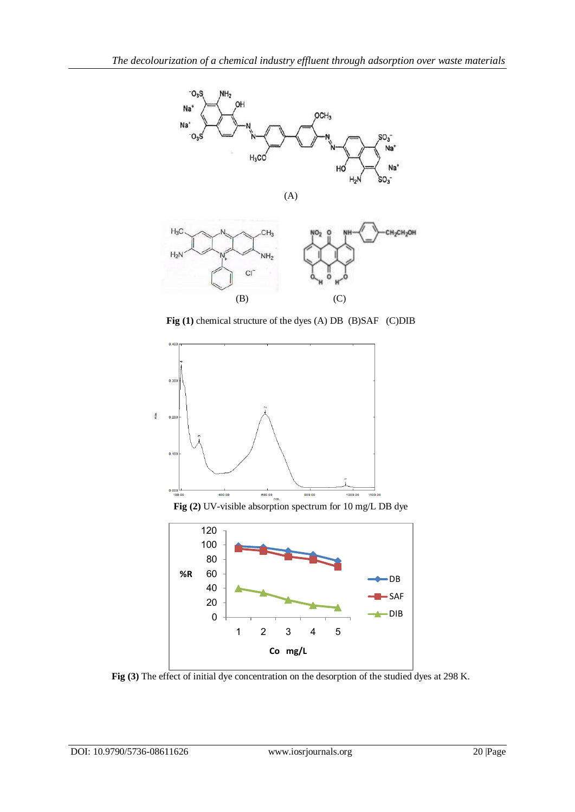

**Fig (1)** chemical structure of the dyes (A) DB (B)SAF (C)DIB





**Fig (3)** The effect of initial dye concentration on the desorption of the studied dyes at 298 K.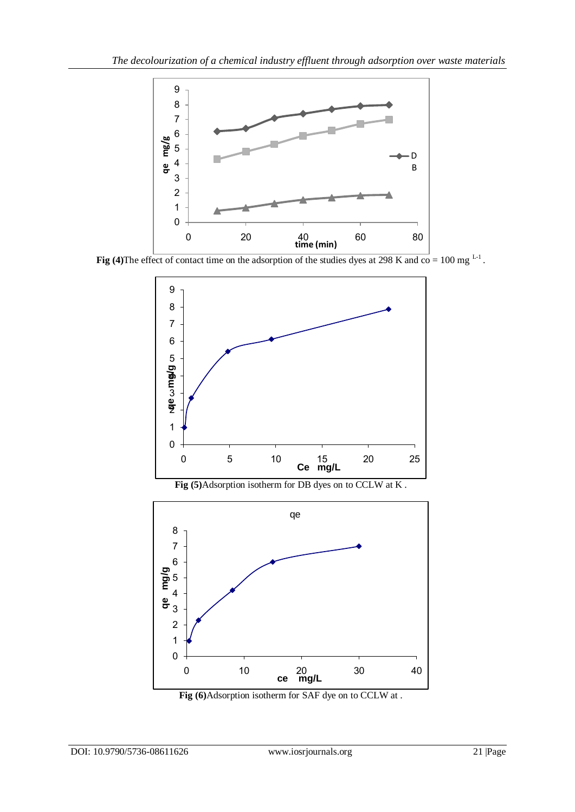

**Fig (4)**The effect of contact time on the adsorption of the studies dyes at 298 K and  $\overline{\text{co}} = 100 \text{ mg }^{\text{L-1}}$ .



**Fig (6)**Adsorption isotherm for SAF dye on to CCLW at .

10 20 30 40 **ce mg/L**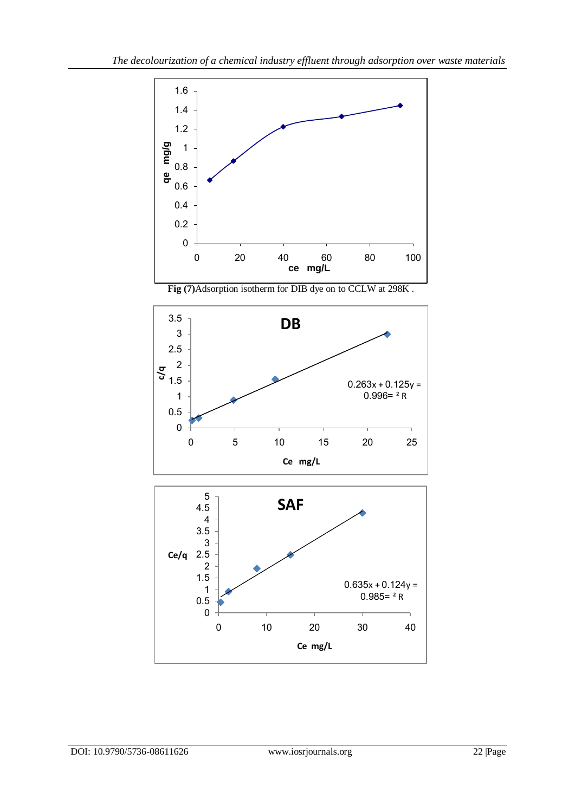



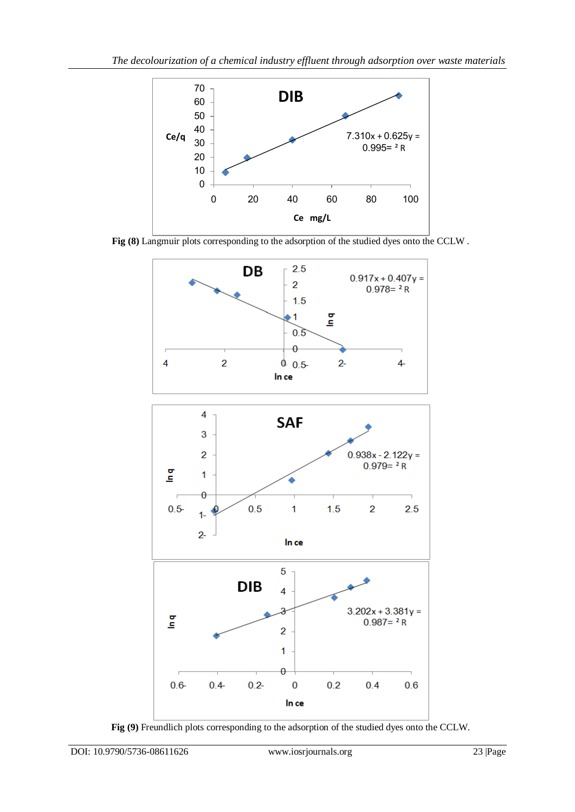





**Fig (9)** Freundlich plots corresponding to the adsorption of the studied dyes onto the CCLW.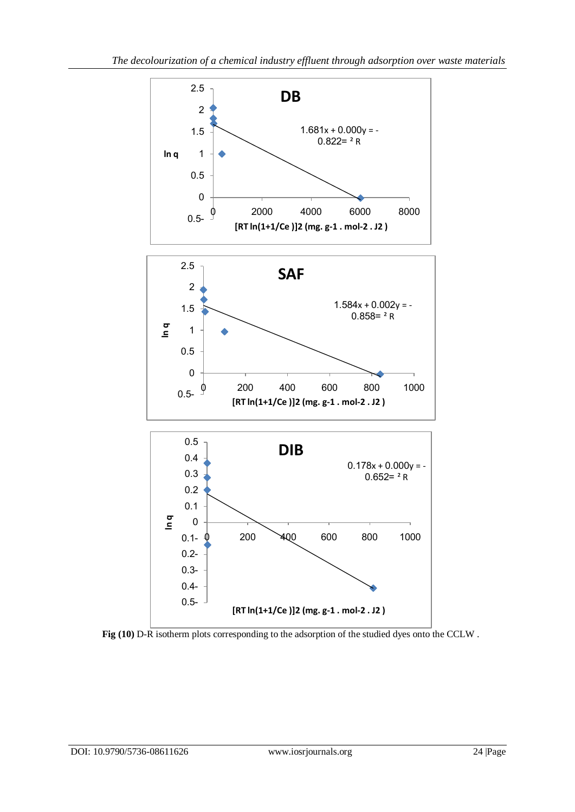

**Fig (10)** D-R isotherm plots corresponding to the adsorption of the studied dyes onto the CCLW .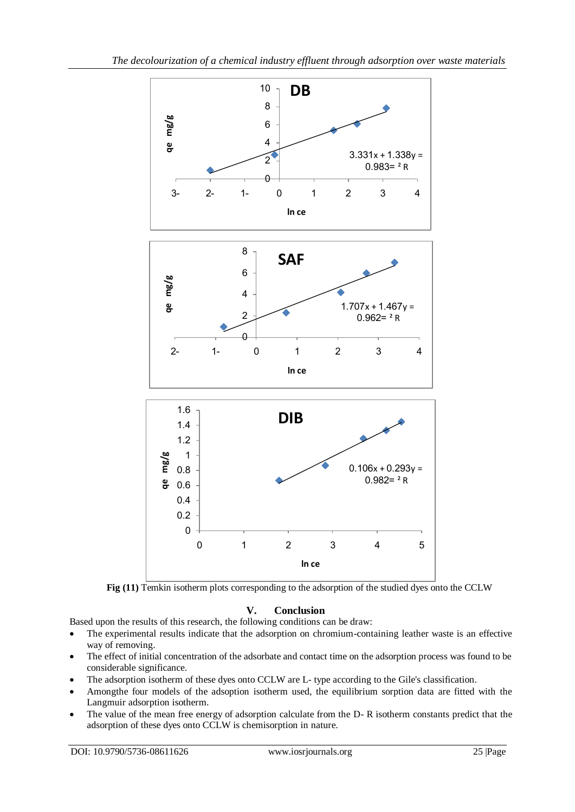

**Fig (11)** Temkin isotherm plots corresponding to the adsorption of the studied dyes onto the CCLW

# **V. Conclusion**

Based upon the results of this research, the following conditions can be draw:

- The experimental results indicate that the adsorption on chromium-containing leather waste is an effective way of removing.
- The effect of initial concentration of the adsorbate and contact time on the adsorption process was found to be considerable significance.
- The adsorption isotherm of these dyes onto CCLW are L- type according to the Gile's classification.
- Amongthe four models of the adsoption isotherm used, the equilibrium sorption data are fitted with the Langmuir adsorption isotherm.
- The value of the mean free energy of adsorption calculate from the D- R isotherm constants predict that the adsorption of these dyes onto CCLW is chemisorption in nature.